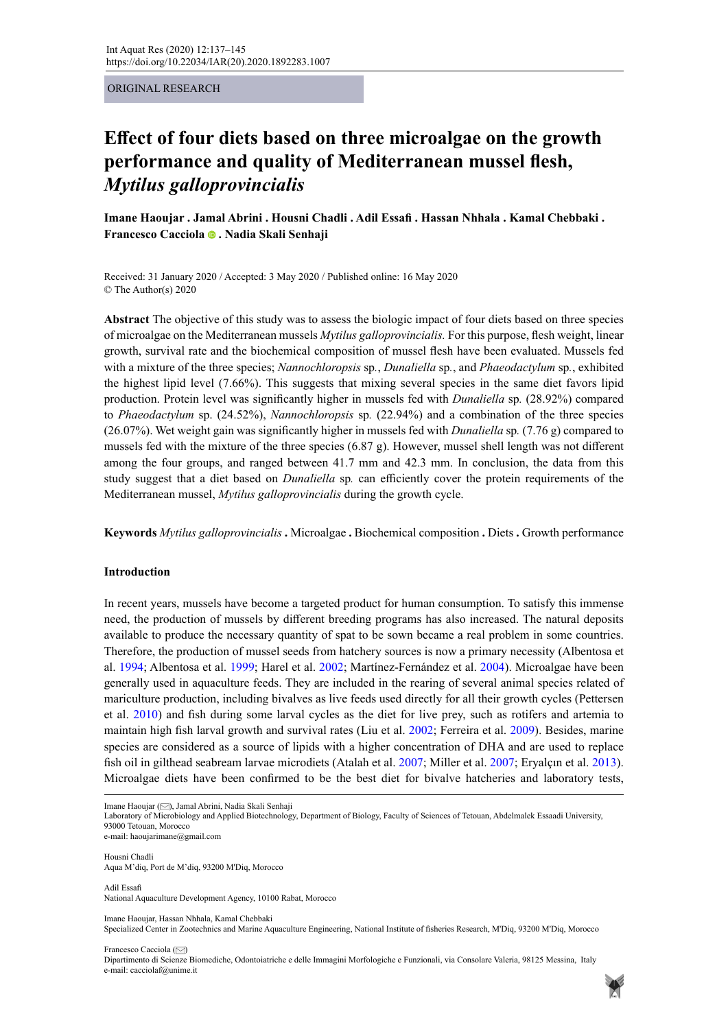#### ORIGINAL RESEARCH

# **Effect of four diets based on three microalgae on the growth performance and quality of Mediterranean mussel flesh,**  *Mytilus galloprovincialis*

**Imane Haoujar . Jamal Abrini . Housni Chadli . Adil Essafi . Hassan Nhhala . Kamal Chebbaki . Francesco Cacciola. Nadia Skali Senhaji** 

Received: 31 January 2020 / Accepted: 3 May 2020 / Published online: 16 May 2020 © The Author(s) 2020

**Abstract** The objective of this study was to assess the biologic impact of four diets based on three species of microalgae on the Mediterranean mussels *Mytilus galloprovincialis.* For this purpose, flesh weight, linear growth, survival rate and the biochemical composition of mussel flesh have been evaluated. Mussels fed with a mixture of the three species; *Nannochloropsis* sp*.*, *Dunaliella* sp*.*, and *Phaeodactylum* sp*.*, exhibited the highest lipid level (7.66%). This suggests that mixing several species in the same diet favors lipid production. Protein level was significantly higher in mussels fed with *Dunaliella* sp*.* (28.92%) compared to *Phaeodactylum* sp. (24.52%), *Nannochloropsis* sp*.* (22.94%) and a combination of the three species (26.07%). Wet weight gain was significantly higher in mussels fed with *Dunaliella* sp*.* (7.76 g) compared to mussels fed with the mixture of the three species (6.87 g). However, mussel shell length was not different among the four groups, and ranged between 41.7 mm and 42.3 mm. In conclusion, the data from this study suggest that a diet based on *Dunaliella* sp*.* can efficiently cover the protein requirements of the Mediterranean mussel, *Mytilus galloprovincialis* during the growth cycle.

**Keywords** *Mytilus galloprovincialis* **.** Microalgae **.** Biochemical composition **.** Diets **.** Growth performance

### **Introduction**

In recent years, mussels have become a targeted product for human consumption. To satisfy this immense need, the production of mussels by different breeding programs has also increased. The natural deposits available to produce the necessary quantity of spat to be sown became a real problem in some countries. Therefore, the production of mussel seeds from hatchery sources is now a primary necessity (Albentosa et al. 1994; Albentosa et al. 1999; Harel et al. 2002; Martínez-Fernández et al. 2004). Microalgae have been generally used in aquaculture feeds. They are included in the rearing of several animal species related of mariculture production, including bivalves as live feeds used directly for all their growth cycles (Pettersen et al. 2010) and fish during some larval cycles as the diet for live prey, such as rotifers and artemia to maintain high fish larval growth and survival rates (Liu et al. 2002; Ferreira et al. 2009). Besides, marine species are considered as a source of lipids with a higher concentration of DHA and are used to replace fish oil in gilthead seabream larvae microdiets (Atalah et al. 2007; Miller et al. 2007; Eryalçın et al. 2013). Microalgae diets have been confirmed to be the best diet for bivalve hatcheries and laboratory tests,

Imane Haoujar [\(](mailto:haoujarimane%40gmail.com?subject=) ), Jamal Abrini, Nadia Skali Senhaji

e-mail: haoujarimane@gmail.com

Housni Chadli Aqua M'diq, Port de M'diq, 93200 M'Diq, Morocco

Adil Essafi National Aquaculture Development Agency, 10100 Rabat, Morocco

Imane Haoujar, Hassan Nhhala, Kamal Chebbaki

Specialized Center in Zootechnics and Marine Aquaculture Engineering, National Institute of fisheries Research, M'Diq, 93200 M'Diq, Morocco

Francesco Cacciola ( $\heartsuit$ [\)](mailto:cacciolaf%40unime.it?subject=) Dipartimento di Scienze Biomediche, Odontoiatriche e delle Immagini Morfologiche e Funzionali, via Consolare Valeria, 98125 Messina, Italy e-mail: cacciolaf@unime.it



Laboratory of Microbiology and Applied Biotechnology, Department of Biology, Faculty of Sciences of Tetouan, Abdelmalek Essaadi University, 93000 Tetouan, Morocco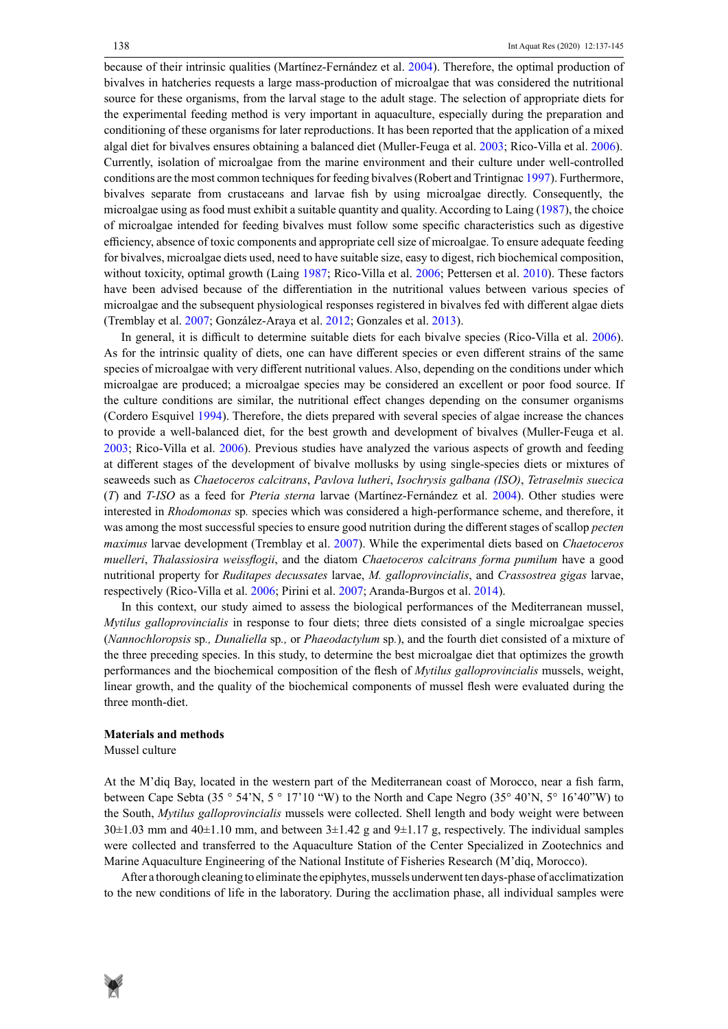because of their intrinsic qualities (Martínez-Fernández et al. 2004). Therefore, the optimal production of bivalves in hatcheries requests a large mass-production of microalgae that was considered the nutritional source for these organisms, from the larval stage to the adult stage. The selection of appropriate diets for the experimental feeding method is very important in aquaculture, especially during the preparation and conditioning of these organisms for later reproductions. It has been reported that the application of a mixed algal diet for bivalves ensures obtaining a balanced diet (Muller-Feuga et al. 2003; Rico-Villa et al. 2006). Currently, isolation of microalgae from the marine environment and their culture under well-controlled conditions are the most common techniques for feeding bivalves (Robert and Trintignac 1997). Furthermore, bivalves separate from crustaceans and larvae fish by using microalgae directly. Consequently, the microalgae using as food must exhibit a suitable quantity and quality. According to Laing (1987), the choice of microalgae intended for feeding bivalves must follow some specific characteristics such as digestive efficiency, absence of toxic components and appropriate cell size of microalgae. To ensure adequate feeding for bivalves, microalgae diets used, need to have suitable size, easy to digest, rich biochemical composition, without toxicity, optimal growth (Laing 1987; Rico-Villa et al. 2006; Pettersen et al. 2010). These factors have been advised because of the differentiation in the nutritional values between various species of microalgae and the subsequent physiological responses registered in bivalves fed with different algae diets (Tremblay et al. 2007; González-Araya et al. 2012; Gonzales et al. 2013).

In general, it is difficult to determine suitable diets for each bivalve species (Rico-Villa et al. 2006). As for the intrinsic quality of diets, one can have different species or even different strains of the same species of microalgae with very different nutritional values. Also, depending on the conditions under which microalgae are produced; a microalgae species may be considered an excellent or poor food source. If the culture conditions are similar, the nutritional effect changes depending on the consumer organisms (Cordero Esquivel 1994). Therefore, the diets prepared with several species of algae increase the chances to provide a well-balanced diet, for the best growth and development of bivalves (Muller-Feuga et al. 2003; Rico-Villa et al. 2006). Previous studies have analyzed the various aspects of growth and feeding at different stages of the development of bivalve mollusks by using single-species diets or mixtures of seaweeds such as *Chaetoceros calcitrans*, *Pavlova lutheri*, *Isochrysis galbana (ISO)*, *Tetraselmis suecica*  (*T*) and *T-ISO* as a feed for *Pteria sterna* larvae (Martínez-Fernández et al. 2004). Other studies were interested in *Rhodomonas* sp*.* species which was considered a high-performance scheme, and therefore, it was among the most successful species to ensure good nutrition during the different stages of scallop *pecten maximus* larvae development (Tremblay et al. 2007). While the experimental diets based on *Chaetoceros muelleri*, *Thalassiosira weissflogii*, and the diatom *Chaetoceros calcitrans forma pumilum* have a good nutritional property for *Ruditapes decussates* larvae, *M. galloprovincialis*, and *Crassostrea gigas* larvae, respectively (Rico-Villa et al. 2006; Pirini et al. 2007; Aranda-Burgos et al. 2014).

In this context, our study aimed to assess the biological performances of the Mediterranean mussel, *Mytilus galloprovincialis* in response to four diets; three diets consisted of a single microalgae species (*Nannochloropsis* sp*., Dunaliella* sp*.,* or *Phaeodactylum* sp*.*), and the fourth diet consisted of a mixture of the three preceding species. In this study, to determine the best microalgae diet that optimizes the growth performances and the biochemical composition of the flesh of *Mytilus galloprovincialis* mussels, weight, linear growth, and the quality of the biochemical components of mussel flesh were evaluated during the three month-diet.

#### **Materials and methods**

Mussel culture

At the M'diq Bay, located in the western part of the Mediterranean coast of Morocco, near a fish farm, between Cape Sebta (35  $\degree$  54'N, 5  $\degree$  17'10 "W) to the North and Cape Negro (35 $\degree$  40'N, 5 $\degree$  16'40"W) to the South, *Mytilus galloprovincialis* mussels were collected. Shell length and body weight were between  $30±1.03$  mm and  $40±1.10$  mm, and between  $3±1.42$  g and  $9±1.17$  g, respectively. The individual samples were collected and transferred to the Aquaculture Station of the Center Specialized in Zootechnics and Marine Aquaculture Engineering of the National Institute of Fisheries Research (M'diq, Morocco).

After a thorough cleaning to eliminate the epiphytes, mussels underwent ten days-phase of acclimatization to the new conditions of life in the laboratory. During the acclimation phase, all individual samples were

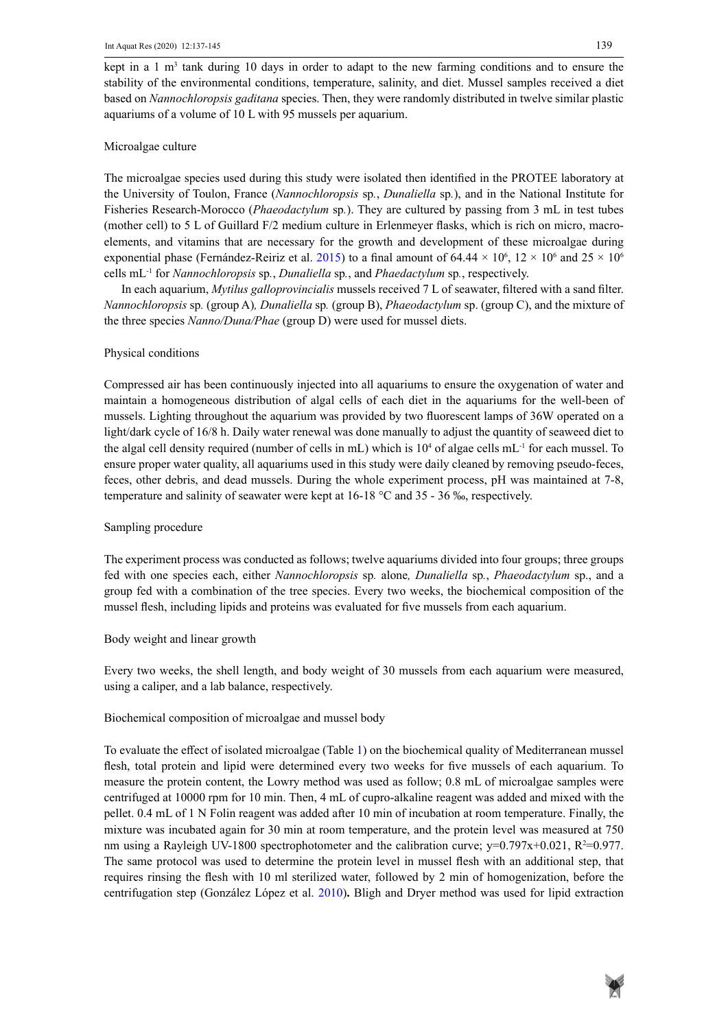kept in a 1  $m<sup>3</sup>$  tank during 10 days in order to adapt to the new farming conditions and to ensure the stability of the environmental conditions, temperature, salinity, and diet. Mussel samples received a diet based on *Nannochloropsis gaditana* species. Then, they were randomly distributed in twelve similar plastic aquariums of a volume of 10 L with 95 mussels per aquarium.

### Microalgae culture

The microalgae species used during this study were isolated then identified in the PROTEE laboratory at the University of Toulon, France (*Nannochloropsis* sp*.*, *Dunaliella* sp*.*), and in the National Institute for Fisheries Research-Morocco (*Phaeodactylum* sp*.*). They are cultured by passing from 3 mL in test tubes (mother cell) to 5 L of Guillard F/2 medium culture in Erlenmeyer flasks, which is rich on micro, macroelements, and vitamins that are necessary for the growth and development of these microalgae during exponential phase (Fernández-Reiriz et al. 2015) to a final amount of 64.44  $\times$  10<sup>6</sup>, 12  $\times$  10<sup>6</sup> and 25  $\times$  10<sup>6</sup> cells mL-1 for *Nannochloropsis* sp*.*, *Dunaliella* sp*.*, and *Phaedactylum* sp*.*, respectively.

In each aquarium, *Mytilus galloprovincialis* mussels received 7 L of seawater, filtered with a sand filter. *Nannochloropsis* sp*.* (group A)*, Dunaliella* sp*.* (group B), *Phaeodactylum* sp. (group C), and the mixture of the three species *Nanno/Duna/Phae* (group D) were used for mussel diets.

### Physical conditions

Compressed air has been continuously injected into all aquariums to ensure the oxygenation of water and maintain a homogeneous distribution of algal cells of each diet in the aquariums for the well-been of mussels. Lighting throughout the aquarium was provided by two fluorescent lamps of 36W operated on a light/dark cycle of 16/8 h. Daily water renewal was done manually to adjust the quantity of seaweed diet to the algal cell density required (number of cells in mL) which is  $10^4$  of algae cells mL<sup>-1</sup> for each mussel. To ensure proper water quality, all aquariums used in this study were daily cleaned by removing pseudo-feces, feces, other debris, and dead mussels. During the whole experiment process, pH was maintained at 7-8, temperature and salinity of seawater were kept at 16-18 °C and 35 - 36 ‰, respectively.

### Sampling procedure

The experiment process was conducted as follows; twelve aquariums divided into four groups; three groups fed with one species each, either *Nannochloropsis* sp*.* alone*, Dunaliella* sp*.*, *Phaeodactylum* sp., and a group fed with a combination of the tree species. Every two weeks, the biochemical composition of the mussel flesh, including lipids and proteins was evaluated for five mussels from each aquarium.

### Body weight and linear growth

Every two weeks, the shell length, and body weight of 30 mussels from each aquarium were measured, using a caliper, and a lab balance, respectively.

# Biochemical composition of microalgae and mussel body

To evaluate the effect of isolated microalgae (Table 1) on the biochemical quality of Mediterranean mussel flesh, total protein and lipid were determined every two weeks for five mussels of each aquarium. To measure the protein content, the Lowry method was used as follow; 0.8 mL of microalgae samples were centrifuged at 10000 rpm for 10 min. Then, 4 mL of cupro-alkaline reagent was added and mixed with the pellet. 0.4 mL of 1 N Folin reagent was added after 10 min of incubation at room temperature. Finally, the mixture was incubated again for 30 min at room temperature, and the protein level was measured at 750 nm using a Rayleigh UV-1800 spectrophotometer and the calibration curve;  $y=0.797x+0.021$ ,  $R^2=0.977$ . The same protocol was used to determine the protein level in mussel flesh with an additional step, that requires rinsing the flesh with 10 ml sterilized water, followed by 2 min of homogenization, before the centrifugation step (González López et al. 2010)**.** Bligh and Dryer method was used for lipid extraction

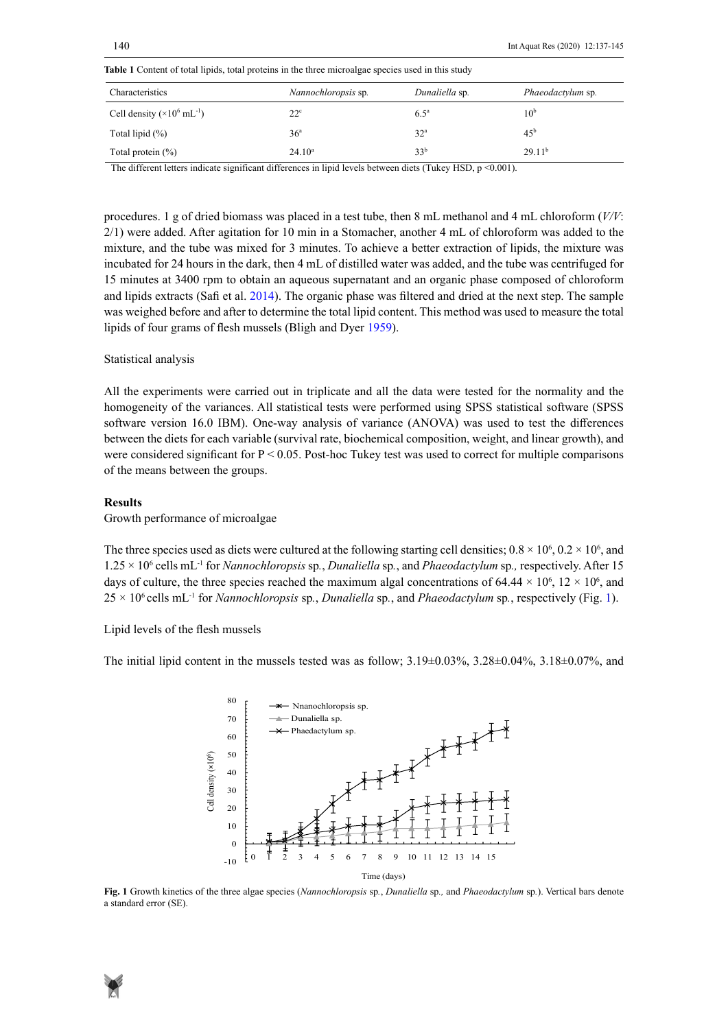| Characteristics                              | Nannochloropsis sp. | Dunaliella sp.     | Phaeodactylum sp.  |
|----------------------------------------------|---------------------|--------------------|--------------------|
| Cell density $(\times 10^6 \text{ mL}^{-1})$ | $22^{\circ}$        | $6.5^{\mathrm{a}}$ | 10 <sup>b</sup>    |
| Total lipid $(\%)$                           | 36 <sup>a</sup>     | 32 <sup>a</sup>    | 45 <sup>b</sup>    |
| Total protein $(\%)$                         | $24.10^a$           | 33 <sup>b</sup>    | 29.11 <sup>b</sup> |

**Table 1** Content of total lipids, total proteins in the three microalgae species used in this study **Table 1** Content of total lipids, total proteins in the three microalgae species used in this study

The different letters indicate significant differences in lipid levels between diets (Tukey HSD, p <0.001).

procedures. 1 g of dried biomass was placed in a test tube, then 8 mL methanol and 4 mL chloroform (*V/V*: 2/1) were added. After agitation for 10 min in a Stomacher, another 4 mL of chloroform was added to the mixture, and the tube was mixed for 3 minutes. To achieve a better extraction of lipids, the mixture was incubated for 24 hours in the dark, then 4 mL of distilled water was added, and the tube was centrifuged for 15 minutes at 3400 rpm to obtain an aqueous supernatant and an organic phase composed of chloroform and lipids extracts (Safi et al. 2014). The organic phase was filtered and dried at the next step. The sample was weighed before and after to determine the total lipid content. This method was used to measure the total lipids of four grams of flesh mussels (Bligh and Dyer 1959).

#### Statistical analysis

All the experiments were carried out in triplicate and all the data were tested for the normality and the homogeneity of the variances. All statistical tests were performed using SPSS statistical software (SPSS software version 16.0 IBM). One-way analysis of variance (ANOVA) was used to test the differences between the diets for each variable (survival rate, biochemical composition, weight, and linear growth), and were considered significant for  $P < 0.05$ . Post-hoc Tukey test was used to correct for multiple comparisons of the means between the groups.

#### **Results**

Growth performance of microalgae

The three species used as diets were cultured at the following starting cell densities;  $0.8 \times 10^6$ ,  $0.2 \times 10^6$ , and 1.25 × 10<sup>6</sup> cells mL-1 for *Nannochloropsis* sp*.*, *Dunaliella* sp*.*, and *Phaeodactylum* sp*.,* respectively. After 15 days of culture, the three species reached the maximum algal concentrations of 64.44  $\times$  10<sup>6</sup>, 12  $\times$  10<sup>6</sup>, and 25 × 106 cells mL-1 for *Nannochloropsis* sp*.*, *Dunaliella* sp*.*, and *Phaeodactylum* sp*.*, respectively (Fig. 1).

Lipid levels of the flesh mussels

The initial lipid content in the mussels tested was as follow;  $3.19\pm0.03\%$ ,  $3.28\pm0.04\%$ ,  $3.18\pm0.07\%$ , and



**Fig. 1** Growth kinetics of the three algae species (*Nannochloropsis* sp*.*, *Dunaliella* sp*.,* and *Phaeodactylum* sp*.*). **Fig. 1** Growth kinetics of the three algae species (*Nannochloropsis* sp*.*, *Dunaliella* sp*.,* and *Phaeodactylum* sp*.*). Vertical bars denote a standard error (SE).

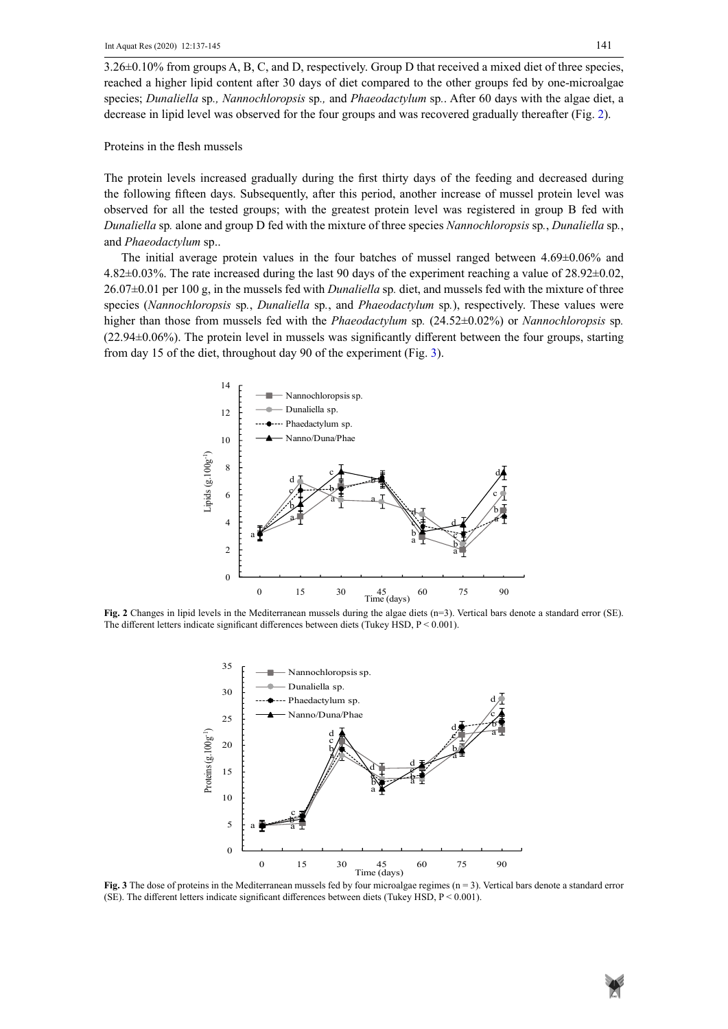3.26±0.10% from groups A, B, C, and D, respectively. Group D that received a mixed diet of three species, reached a higher lipid content after 30 days of diet compared to the other groups fed by one-microalgae species; *Dunaliella* sp*., Nannochloropsis* sp*.,* and *Phaeodactylum* sp*.*. After 60 days with the algae diet, a decrease in lipid level was observed for the four groups and was recovered gradually thereafter (Fig. 2).

Proteins in the flesh mussels

The protein levels increased gradually during the first thirty days of the feeding and decreased during the following fifteen days. Subsequently, after this period, another increase of mussel protein level was observed for all the tested groups; with the greatest protein level was registered in group B fed with *Dunaliella* sp*.* alone and group D fed with the mixture of three species *Nannochloropsis* sp*.*, *Dunaliella* sp*.*, and *Phaeodactylum* sp..

The initial average protein values in the four batches of mussel ranged between  $4.69\pm0.06\%$  and 4.82±0.03%. The rate increased during the last 90 days of the experiment reaching a value of 28.92±0.02, 26.07±0.01 per 100 g, in the mussels fed with *Dunaliella* sp*.* diet, and mussels fed with the mixture of three species (*Nannochloropsis* sp*.*, *Dunaliella* sp*.*, and *Phaeodactylum* sp*.*), respectively. These values were higher than those from mussels fed with the *Phaeodactylum* sp*.* (24.52±0.02%) or *Nannochloropsis* sp*.* (22.94±0.06%). The protein level in mussels was significantly different between the four groups, starting from day 15 of the diet, throughout day 90 of the experiment (Fig. 3).



The different letters indicate significant differences between diets (Tukey HSD, P < 0.001). **Fig. 2** Changes in lipid levels in the Mediterranean mussels during the algae diets (n=3). Vertical bars denote a standard error (SE).



(SE). The different letters indicate significant differences between diets (Tukey HSD,  $P < 0.001$ ). **Fig. 3** The dose of proteins in the Mediterranean mussels fed by four microalgae regimes (n = 3). Vertical bars denote a standard error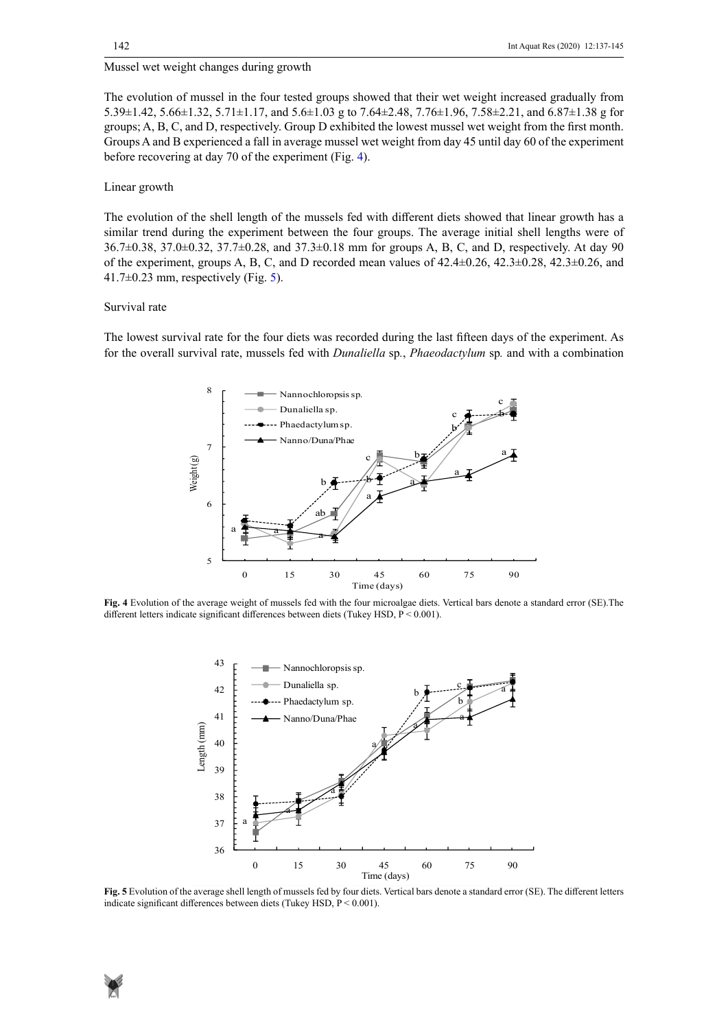# Mussel wet weight changes during growth

The evolution of mussel in the four tested groups showed that their wet weight increased gradually from 5.39±1.42, 5.66±1.32, 5.71±1.17, and 5.6±1.03 g to 7.64±2.48, 7.76±1.96, 7.58±2.21, and 6.87±1.38 g for groups; A, B, C, and D, respectively. Group D exhibited the lowest mussel wet weight from the first month. Groups A and B experienced a fall in average mussel wet weight from day 45 until day 60 of the experiment before recovering at day 70 of the experiment (Fig. 4).

#### Linear growth

The evolution of the shell length of the mussels fed with different diets showed that linear growth has a similar trend during the experiment between the four groups. The average initial shell lengths were of 36.7±0.38, 37.0±0.32, 37.7±0.28, and 37.3±0.18 mm for groups A, B, C, and D, respectively. At day 90 of the experiment, groups A, B, C, and D recorded mean values of 42.4±0.26, 42.3±0.28, 42.3±0.26, and 41.7 $\pm$ 0.23 mm, respectively (Fig. 5).

#### Survival rate

The lowest survival rate for the four diets was recorded during the last fifteen days of the experiment. As for the overall survival rate, mussels fed with *Dunaliella* sp*.*, *Phaeodactylum* sp*.* and with a combination



**Fig. 4** Evolution of the average weight of mussels fed with the four microalgae diets. Vertical bars denote a standard error (SE).The different letters indicate significant differences between diets (Tukey HSD, P < 0.001).



indicate significant differences between diets (Tukey HSD, P < 0.001). **Fig. 5** Evolution of the average shell length of mussels fed by four diets. Vertical bars denote a standard error (SE). The different letters

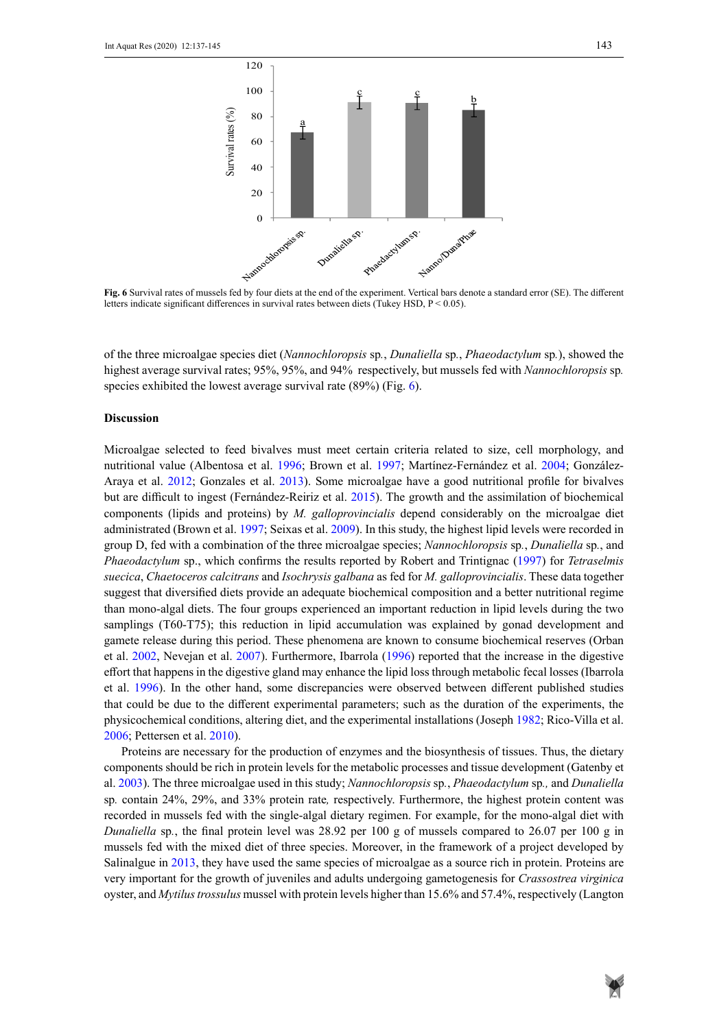

**Fig. 6** Survival rates of mussels fed by four diets at the end of the experiment. Vertical bars denote a standard error (SE). The different letters indicate significant differences in survival rates between diets (Tukey HSD, P < 0.05).

of the three microalgae species diet (Nannochloropsis sp., Dunaliella sp., Phaeodactylum sp.), showed the highest average survival rates; 95%, 95%, and 94% respectively, but mussels fed with *Nannochloropsis* sp*.* species exhibited the lowest average survival rate (89%) (Fig. 6).

#### **Discussion**

Microalgae selected to feed bivalves must meet certain criteria related to size, cell morphology, and nutritional value (Albentosa et al. 1996; Brown et al. 1997; Martínez-Fernández et al. 2004; González-Araya et al. 2012; Gonzales et al. 2013). Some microalgae have a good nutritional profile for bivalves but are difficult to ingest (Fernández-Reiriz et al. 2015). The growth and the assimilation of biochemical components (lipids and proteins) by *M. galloprovincialis* depend considerably on the microalgae diet administrated (Brown et al. 1997; Seixas et al. 2009). In this study, the highest lipid levels were recorded in group D, fed with a combination of the three microalgae species; *Nannochloropsis* sp*.*, *Dunaliella* sp*.*, and *Phaeodactylum* sp., which confirms the results reported by Robert and Trintignac (1997) for *Tetraselmis suecica*, *Chaetoceros calcitrans* and *Isochrysis galbana* as fed for *M. galloprovincialis*. These data together suggest that diversified diets provide an adequate biochemical composition and a better nutritional regime than mono-algal diets. The four groups experienced an important reduction in lipid levels during the two samplings (T60-T75); this reduction in lipid accumulation was explained by gonad development and gamete release during this period. These phenomena are known to consume biochemical reserves (Orban et al. 2002, Nevejan et al. 2007). Furthermore, Ibarrola (1996) reported that the increase in the digestive effort that happens in the digestive gland may enhance the lipid loss through metabolic fecal losses (Ibarrola et al. 1996). In the other hand, some discrepancies were observed between different published studies that could be due to the different experimental parameters; such as the duration of the experiments, the physicochemical conditions, altering diet, and the experimental installations (Joseph 1982; Rico-Villa et al. 2006; Pettersen et al. 2010).

Proteins are necessary for the production of enzymes and the biosynthesis of tissues. Thus, the dietary components should be rich in protein levels for the metabolic processes and tissue development (Gatenby et al. 2003). The three microalgae used in this study; *Nannochloropsis* sp*.*, *Phaeodactylum* sp*.,* and *Dunaliella*  sp*.* contain 24%, 29%, and 33% protein rate*,* respectively. Furthermore, the highest protein content was recorded in mussels fed with the single-algal dietary regimen. For example, for the mono-algal diet with *Dunaliella* sp*.*, the final protein level was 28.92 per 100 g of mussels compared to 26.07 per 100 g in mussels fed with the mixed diet of three species. Moreover, in the framework of a project developed by Salinalgue in 2013, they have used the same species of microalgae as a source rich in protein. Proteins are very important for the growth of juveniles and adults undergoing gametogenesis for *Crassostrea virginica* oyster, and *Mytilus trossulus* mussel with protein levels higher than 15.6% and 57.4%, respectively (Langton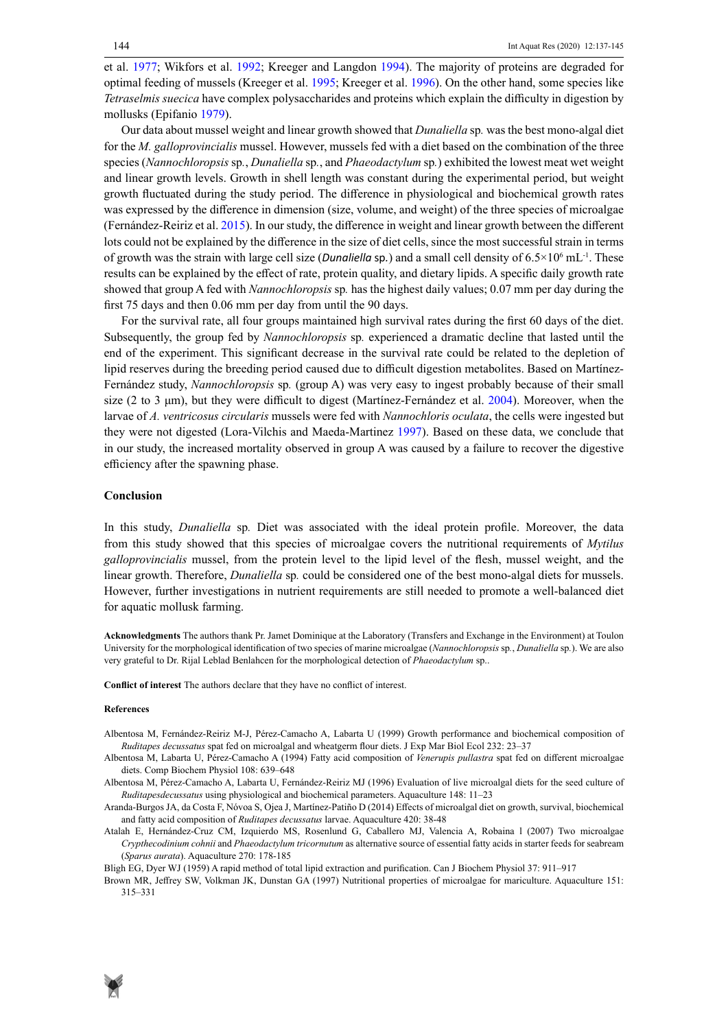et al. 1977; Wikfors et al. 1992; Kreeger and Langdon 1994). The majority of proteins are degraded for optimal feeding of mussels (Kreeger et al. 1995; Kreeger et al. 1996). On the other hand, some species like *Tetraselmis suecica* have complex polysaccharides and proteins which explain the difficulty in digestion by mollusks (Epifanio 1979).

Our data about mussel weight and linear growth showed that *Dunaliella* sp*.* was the best mono-algal diet for the *M. galloprovincialis* mussel. However, mussels fed with a diet based on the combination of the three species (*Nannochloropsis* sp*.*, *Dunaliella* sp*.*, and *Phaeodactylum* sp*.*) exhibited the lowest meat wet weight and linear growth levels. Growth in shell length was constant during the experimental period, but weight growth fluctuated during the study period. The difference in physiological and biochemical growth rates was expressed by the difference in dimension (size, volume, and weight) of the three species of microalgae (Fernández-Reiriz et al. 2015). In our study, the difference in weight and linear growth between the different lots could not be explained by the difference in the size of diet cells, since the most successful strain in terms of growth was the strain with large cell size (*Dunaliella* sp.) and a small cell density of 6.5×10<sup>6</sup> mL<sup>-1</sup>. These results can be explained by the effect of rate, protein quality, and dietary lipids. A specific daily growth rate showed that group A fed with *Nannochloropsis* sp*.* has the highest daily values; 0.07 mm per day during the first 75 days and then 0.06 mm per day from until the 90 days.

For the survival rate, all four groups maintained high survival rates during the first 60 days of the diet. Subsequently, the group fed by *Nannochloropsis* sp*.* experienced a dramatic decline that lasted until the end of the experiment. This significant decrease in the survival rate could be related to the depletion of lipid reserves during the breeding period caused due to difficult digestion metabolites. Based on Martínez-Fernández study, *Nannochloropsis* sp*.* (group A) was very easy to ingest probably because of their small size (2 to 3  $\mu$ m), but they were difficult to digest (Martínez-Fernández et al. 2004). Moreover, when the larvae of *A. ventricosus circularis* mussels were fed with *Nannochloris oculata*, the cells were ingested but they were not digested (Lora-Vilchis and Maeda-Martinez 1997). Based on these data, we conclude that in our study, the increased mortality observed in group A was caused by a failure to recover the digestive efficiency after the spawning phase.

#### **Conclusion**

In this study, *Dunaliella* sp*.* Diet was associated with the ideal protein profile. Moreover, the data from this study showed that this species of microalgae covers the nutritional requirements of *Mytilus galloprovincialis* mussel, from the protein level to the lipid level of the flesh, mussel weight, and the linear growth. Therefore, *Dunaliella* sp*.* could be considered one of the best mono-algal diets for mussels. However, further investigations in nutrient requirements are still needed to promote a well-balanced diet for aquatic mollusk farming.

**Acknowledgments** The authors thank Pr. Jamet Dominique at the Laboratory (Transfers and Exchange in the Environment) at Toulon University for the morphological identification of two species of marine microalgae (*Nannochloropsis* sp*.*, *Dunaliella* sp*.*). We are also very grateful to Dr. Rijal Leblad Benlahcen for the morphological detection of *Phaeodactylum* sp..

**Conflict of interest** The authors declare that they have no conflict of interest.

#### **References**

- Albentosa M, Fernández-Reiriz M-J, Pérez-Camacho A, Labarta U (1999) Growth performance and biochemical composition of *Ruditapes decussatus* spat fed on microalgal and wheatgerm flour diets. J Exp Mar Biol Ecol 232: 23–37
- Albentosa M, Labarta U, Pérez-Camacho A (1994) Fatty acid composition of *Venerupis pullastra* spat fed on different microalgae diets. Comp Biochem Physiol 108: 639–648
- Albentosa M, Pérez-Camacho A, Labarta U, Fernández-Reiriz MJ (1996) Evaluation of live microalgal diets for the seed culture of *Ruditapesdecussatus* using physiological and biochemical parameters. Aquaculture 148: 11–23
- Aranda-Burgos JA, da Costa F, Nóvoa S, Ojea J, Martínez-Patiño D (2014) Effects of microalgal diet on growth, survival, biochemical and fatty acid composition of *Ruditapes decussatus* larvae. Aquaculture 420: 38-48
- Atalah E, Hernández-Cruz CM, Izquierdo MS, Rosenlund G, Caballero MJ, Valencia A, Robaina l (2007) Two microalgae *Crypthecodinium cohnii* and *Phaeodactylum tricornutum* as alternative source of essential fatty acids in starter feeds for seabream (*Sparus aurata*). Aquaculture 270: 178-185
- Bligh EG, Dyer WJ (1959) A rapid method of total lipid extraction and purification. Can J Biochem Physiol 37: 911–917
- Brown MR, Jeffrey SW, Volkman JK, Dunstan GA (1997) Nutritional properties of microalgae for mariculture. Aquaculture 151: 315–331